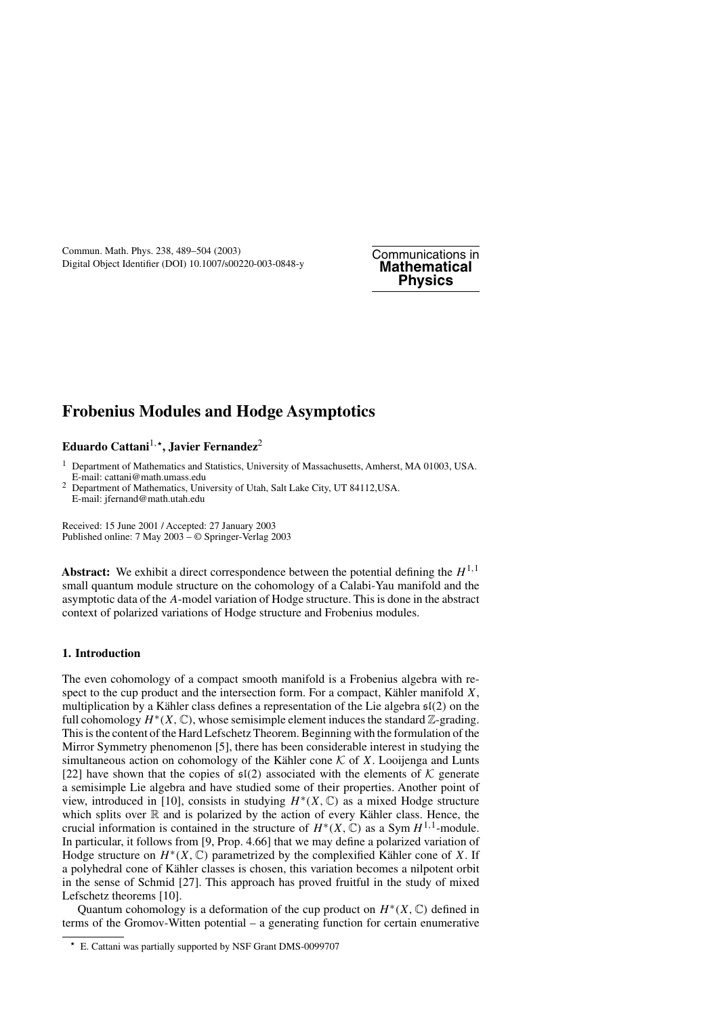# **Frobenius Modules and Hodge Asymptotics**

# **Eduardo Cattani**1*,***, Javier Fernandez**<sup>2</sup>

<sup>1</sup> Department of Mathematics and Statistics, University of Massachusetts, Amherst, MA 01003, USA. E-mail: cattani@math.umass.edu

<sup>2</sup> Department of Mathematics, University of Utah, Salt Lake City, UT 84112,USA. E-mail: jfernand@math.utah.edu

Received: 15 June 2001 / Accepted: 27 January 2003 Published online: 7 May 2003 – © Springer-Verlag 2003

**Abstract:** We exhibit a direct correspondence between the potential defining the  $H^{1,1}$ small quantum module structure on the cohomology of a Calabi-Yau manifold and the asymptotic data of the *A*-model variation of Hodge structure. This is done in the abstract context of polarized variations of Hodge structure and Frobenius modules.

## **1. Introduction**

The even cohomology of a compact smooth manifold is a Frobenius algebra with respect to the cup product and the intersection form. For a compact, Kähler manifold  $X$ , multiplication by a Kähler class defines a representation of the Lie algebra  $\mathfrak{sl}(2)$  on the full cohomology  $H^*(X, \mathbb{C})$ , whose semisimple element induces the standard  $\mathbb{Z}$ -grading. This is the content of the Hard Lefschetz Theorem. Beginning with the formulation of the Mirror Symmetry phenomenon [5], there has been considerable interest in studying the simultaneous action on cohomology of the Kähler cone  $K$  of  $X$ . Looijenga and Lunts [22] have shown that the copies of  $\mathfrak{sl}(2)$  associated with the elements of K generate a semisimple Lie algebra and have studied some of their properties. Another point of view, introduced in [10], consists in studying *H*∗*(X,* C*)* as a mixed Hodge structure which splits over  $\mathbb R$  and is polarized by the action of every Kähler class. Hence, the crucial information is contained in the structure of  $H^*(X, \mathbb{C})$  as a Sym  $H^{1,1}$ -module. In particular, it follows from [9, Prop. 4.66] that we may define a polarized variation of Hodge structure on  $H^*(X, \mathbb{C})$  parametrized by the complexified Kähler cone of X. If a polyhedral cone of Kähler classes is chosen, this variation becomes a nilpotent orbit in the sense of Schmid [27]. This approach has proved fruitful in the study of mixed Lefschetz theorems [10].

Quantum cohomology is a deformation of the cup product on  $H^*(X, \mathbb{C})$  defined in terms of the Gromov-Witten potential – a generating function for certain enumerative

E. Cattani was partially supported by NSF Grant DMS-0099707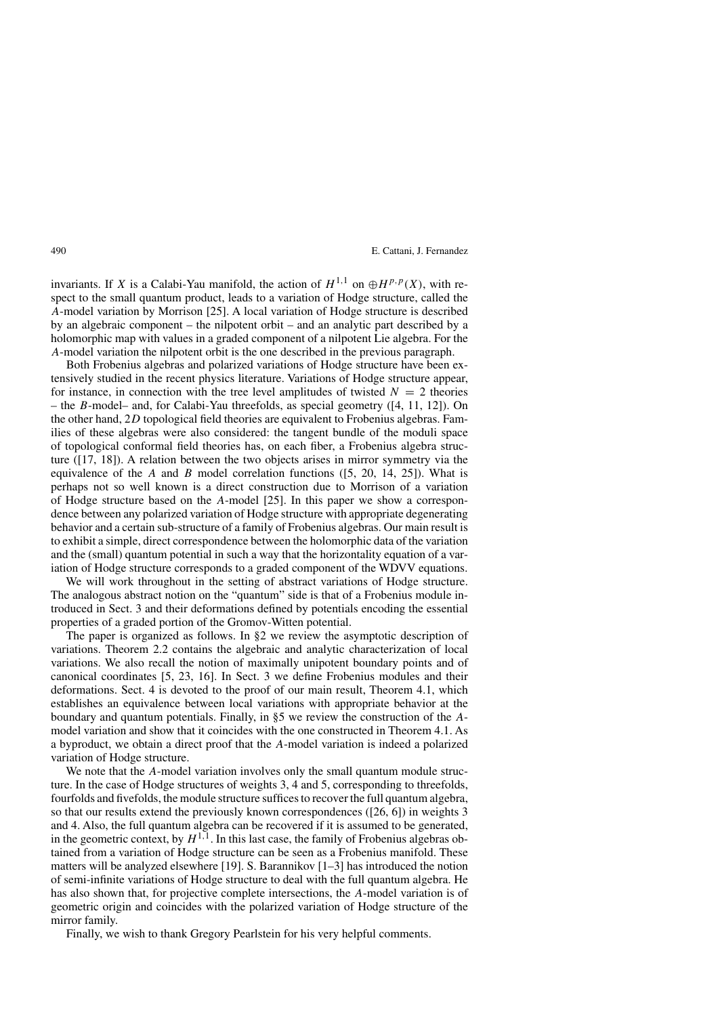invariants. If *X* is a Calabi-Yau manifold, the action of  $H^{1,1}$  on  $\bigoplus H^{p,p}(X)$ , with respect to the small quantum product, leads to a variation of Hodge structure, called the *A*-model variation by Morrison [25]. A local variation of Hodge structure is described by an algebraic component – the nilpotent orbit – and an analytic part described by a holomorphic map with values in a graded component of a nilpotent Lie algebra. For the *A*-model variation the nilpotent orbit is the one described in the previous paragraph.

Both Frobenius algebras and polarized variations of Hodge structure have been extensively studied in the recent physics literature. Variations of Hodge structure appear, for instance, in connection with the tree level amplitudes of twisted  $N = 2$  theories – the *B*-model– and, for Calabi-Yau threefolds, as special geometry ([4, 11, 12]). On the other hand, 2*D* topological field theories are equivalent to Frobenius algebras. Families of these algebras were also considered: the tangent bundle of the moduli space of topological conformal field theories has, on each fiber, a Frobenius algebra structure ([17, 18]). A relation between the two objects arises in mirror symmetry via the equivalence of the *A* and *B* model correlation functions ([5, 20, 14, 25]). What is perhaps not so well known is a direct construction due to Morrison of a variation of Hodge structure based on the *A*-model [25]. In this paper we show a correspondence between any polarized variation of Hodge structure with appropriate degenerating behavior and a certain sub-structure of a family of Frobenius algebras. Our main result is to exhibit a simple, direct correspondence between the holomorphic data of the variation and the (small) quantum potential in such a way that the horizontality equation of a variation of Hodge structure corresponds to a graded component of the WDVV equations.

We will work throughout in the setting of abstract variations of Hodge structure. The analogous abstract notion on the "quantum" side is that of a Frobenius module introduced in Sect. 3 and their deformations defined by potentials encoding the essential properties of a graded portion of the Gromov-Witten potential.

The paper is organized as follows. In §2 we review the asymptotic description of variations. Theorem 2.2 contains the algebraic and analytic characterization of local variations. We also recall the notion of maximally unipotent boundary points and of canonical coordinates [5, 23, 16]. In Sect. 3 we define Frobenius modules and their deformations. Sect. 4 is devoted to the proof of our main result, Theorem 4.1, which establishes an equivalence between local variations with appropriate behavior at the boundary and quantum potentials. Finally, in §5 we review the construction of the *A*model variation and show that it coincides with the one constructed in Theorem 4.1. As a byproduct, we obtain a direct proof that the *A*-model variation is indeed a polarized variation of Hodge structure.

We note that the *A*-model variation involves only the small quantum module structure. In the case of Hodge structures of weights 3, 4 and 5, corresponding to threefolds, fourfolds and fivefolds, the module structure suffices to recover the full quantum algebra, so that our results extend the previously known correspondences ([26, 6]) in weights 3 and 4. Also, the full quantum algebra can be recovered if it is assumed to be generated, in the geometric context, by  $H^{1,1}$ . In this last case, the family of Frobenius algebras obtained from a variation of Hodge structure can be seen as a Frobenius manifold. These matters will be analyzed elsewhere [19]. S. Barannikov [1–3] has introduced the notion of semi-infinite variations of Hodge structure to deal with the full quantum algebra. He has also shown that, for projective complete intersections, the *A*-model variation is of geometric origin and coincides with the polarized variation of Hodge structure of the mirror family.

Finally, we wish to thank Gregory Pearlstein for his very helpful comments.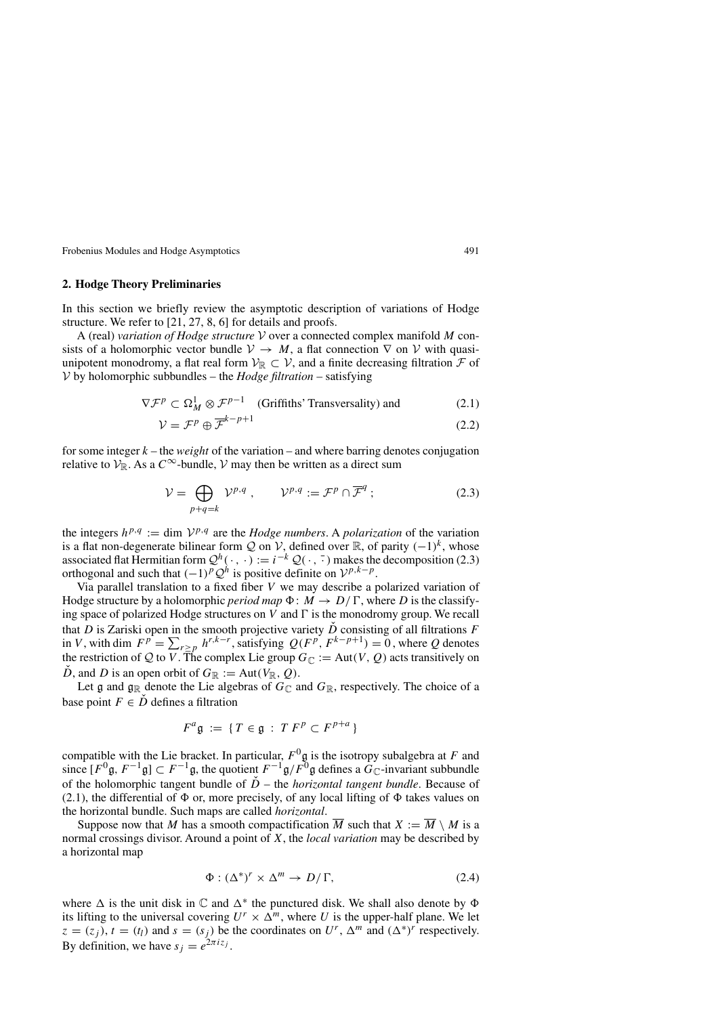#### **2. Hodge Theory Preliminaries**

In this section we briefly review the asymptotic description of variations of Hodge structure. We refer to [21, 27, 8, 6] for details and proofs.

A (real) *variation of Hodge structure* <sup>V</sup> over a connected complex manifold *<sup>M</sup>* consists of a holomorphic vector bundle  $V \to M$ , a flat connection  $\nabla$  on  $V$  with quasiunipotent monodromy, a flat real form  $V_{\mathbb{R}} \subset V$ , and a finite decreasing filtration  $\mathcal F$  of V by holomorphic subbundles – the *Hodge filtration* – satisfying

$$
\nabla \mathcal{F}^p \subset \Omega^1_M \otimes \mathcal{F}^{p-1} \quad \text{(Griffiths' Transversality) and} \tag{2.1}
$$

$$
\mathcal{V} = \mathcal{F}^p \oplus \overline{\mathcal{F}}^{k-p+1} \tag{2.2}
$$

for some integer *k* – the *weight* of the variation – and where barring denotes conjugation relative to  $\mathcal{V}_{\mathbb{R}}$ . As a  $C^{\infty}$ -bundle,  $\mathcal{V}$  may then be written as a direct sum

$$
\mathcal{V} = \bigoplus_{p+q=k} \mathcal{V}^{p,q} , \qquad \mathcal{V}^{p,q} := \mathcal{F}^p \cap \overline{\mathcal{F}}^q ; \tag{2.3}
$$

the integers  $h^{p,q} := \text{dim } \mathcal{V}^{p,q}$  are the *Hodge numbers*. A *polarization* of the variation is a flat non-degenerate bilinear form Q on V, defined over R, of parity  $(-1)^k$ , whose associated flat Hermitian form  $Q^h(\cdot, \cdot) := i^{-k} Q(\cdot, \overline{\cdot})$  makes the decomposition (2.3) orthogonal and such that  $(-1)^p Q^h$  is positive definite on  $\mathcal{V}^{p,k-p}$ .

Via parallel translation to a fixed fiber *V* we may describe a polarized variation of Hodge structure by a holomorphic *period map*  $\Phi : M \to D/\Gamma$ , where *D* is the classifying space of polarized Hodge structures on  $V$  and  $\Gamma$  is the monodromy group. We recall that *D* is Zariski open in the smooth projective variety  $\check{D}$  consisting of all filtrations *F* in *V*, with dim  $F^p = \sum_{r \geq p} h^{r, k-r}$ , satisfying  $Q(F^p, F^{k-p+1}) = 0$ , where *Q* denotes the restriction of Q to V. The complex Lie group  $G_{\mathbb{C}} := Aut(V, Q)$  acts transitively on  $\ddot{D}$ , and *D* is an open orbit of  $G_{\mathbb{R}} := \text{Aut}(V_{\mathbb{R}}, Q)$ .

Let g and  $\mathfrak{g}_{\mathbb{R}}$  denote the Lie algebras of  $G_{\mathbb{C}}$  and  $G_{\mathbb{R}}$ , respectively. The choice of a base point  $F \in \check{D}$  defines a filtration

$$
F^a \mathfrak{g} := \{ T \in \mathfrak{g} : T F^p \subset F^{p+a} \}
$$

compatible with the Lie bracket. In particular,  $F^0$ g is the isotropy subalgebra at *F* and since  $[F^0 \mathfrak{g}, F^{-1} \mathfrak{g}] \subset F^{-1} \mathfrak{g}$ , the quotient  $F^{-1} \mathfrak{g}/F^0 \mathfrak{g}$  defines a  $\widetilde{G}_\mathbb{C}$ -invariant subbundle of the holomorphic tangent bundle of  $\dot{D}$  – the *horizontal tangent bundle*. Because of (2.1), the differential of  $\Phi$  or, more precisely, of any local lifting of  $\Phi$  takes values on the horizontal bundle. Such maps are called *horizontal*.

Suppose now that *M* has a smooth compactification  $\overline{M}$  such that  $X := \overline{M} \setminus M$  is a normal crossings divisor. Around a point of *X*, the *local variation* may be described by a horizontal map

$$
\Phi: (\Delta^*)^r \times \Delta^m \to D/\Gamma, \tag{2.4}
$$

where  $\Delta$  is the unit disk in  $\mathbb C$  and  $\Delta^*$  the punctured disk. We shall also denote by  $\Phi$ its lifting to the universal covering  $U^r \times \Delta^m$ , where *U* is the upper-half plane. We let  $z = (z_j)$ ,  $t = (t_l)$  and  $s = (s_j)$  be the coordinates on  $U^r$ ,  $\Delta^m$  and  $({\Delta^*)}^r$  respectively. By definition, we have  $s_i = e^{2\pi i z_j}$ .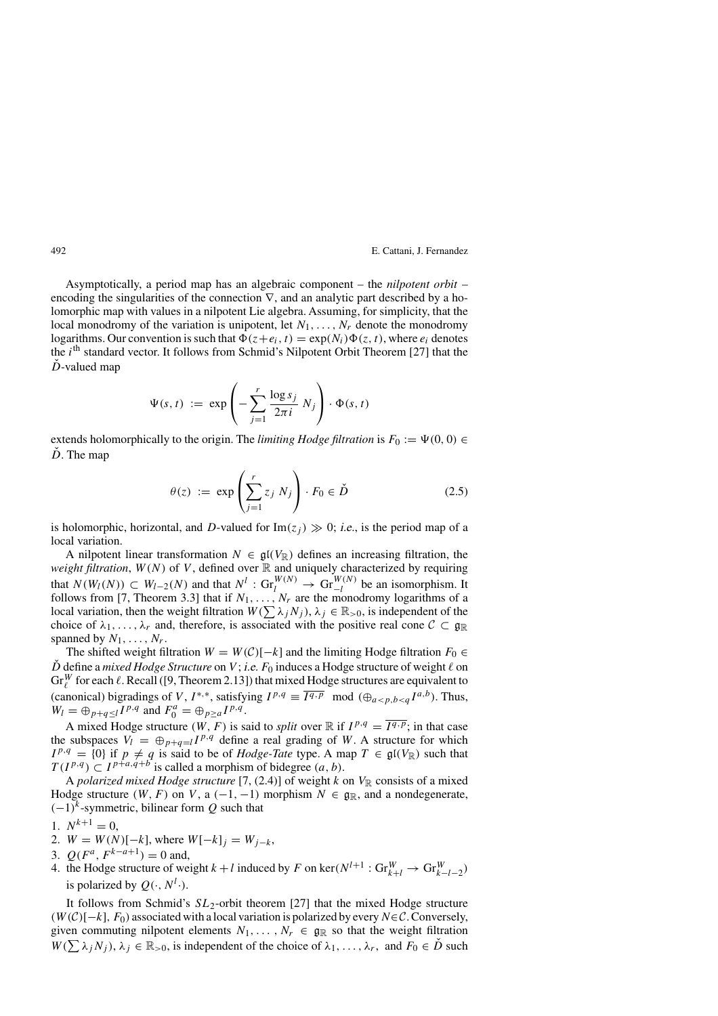Asymptotically, a period map has an algebraic component – the *nilpotent orbit* – encoding the singularities of the connection  $\nabla$ , and an analytic part described by a holomorphic map with values in a nilpotent Lie algebra. Assuming, for simplicity, that the local monodromy of the variation is unipotent, let  $N_1, \ldots, N_r$  denote the monodromy logarithms. Our convention is such that  $\Phi(z+e_i, t) = \exp(N_i)\Phi(z, t)$ , where  $e_i$  denotes the *i*th standard vector. It follows from Schmid's Nilpotent Orbit Theorem [27] that the  $\dot{D}$ -valued map

$$
\Psi(s, t) := \exp \left(-\sum_{j=1}^r \frac{\log s_j}{2\pi i} N_j\right) \cdot \Phi(s, t)
$$

extends holomorphically to the origin. The *limiting Hodge filtration* is  $F_0 := \Psi(0, 0) \in$  $\dot{D}$ . The map

$$
\theta(z) := \exp\left(\sum_{j=1}^r z_j N_j\right) \cdot F_0 \in \check{D} \tag{2.5}
$$

is holomorphic, horizontal, and *D*-valued for  $\text{Im}(z_j) \gg 0$ ; *i.e.*, is the period map of a local variation.

A nilpotent linear transformation  $N \in \mathfrak{gl}(V_{\mathbb{R}})$  defines an increasing filtration, the *weight filtration*,  $W(N)$  of V, defined over  $\mathbb R$  and uniquely characterized by requiring that  $N(W_l(N)) \subset W_{l-2}(N)$  and that  $N^l$ :  $\text{Gr}_{l}^{W(N)} \to \text{Gr}_{-l}^{W(N)}$  be an isomorphism. It follows from [7, Theorem 3.3] that if  $N_1, \ldots, N_r$  are the monodromy logarithms of a local variation, then the weight filtration  $W(\sum_{j} \lambda_j N_j)$ ,  $\lambda_j \in \mathbb{R}_{>0}$ , is independent of the choice of  $\lambda_1, \ldots, \lambda_r$  and, therefore, is associated with the positive real cone  $\mathcal{C} \subset \mathfrak{g}_{\mathbb{R}}$ spanned by  $N_1, \ldots, N_r$ .

The shifted weight filtration  $W = W(C)[-k]$  and the limiting Hodge filtration  $F_0 \in$  $\check{D}$  define a *mixed Hodge Structure* on *V*; *i.e. F*<sub>0</sub> induces a Hodge structure of weight  $\ell$  on  $Gr_{\ell}^W$  for each  $\ell$ . Recall ([9, Theorem 2.13]) that mixed Hodge structures are equivalent to (canonical) bigradings of *V*, *I*<sup>\*,\*</sup>, satisfying  $I^{p,q} \equiv \overline{I^{q,p}} \mod (\bigoplus_{a < p,b < q} I^{a,b})$ . Thus,  $W_l = \bigoplus_{p+q \le l} I^{p,q}$  and  $F_0^a = \bigoplus_{p \ge a} I^{p,q}$ .

A mixed Hodge structure *(W, F)* is said to *split* over  $\mathbb{R}$  if  $I^{p,q} = \overline{I^{q,p}}$ ; in that case the subspaces  $V_l = \bigoplus_{p+q=l} I^{p,q}$  define a real grading of *W*. A structure for which  $I^{p,q} = \{0\}$  if  $p \neq q$  is said to be of *Hodge-Tate* type. A map  $T \in \mathfrak{gl}(V_{\mathbb{R}})$  such that  $T(I^{p,q}) \subset I^{p+a,q+b}$  is called a morphism of bidegree  $(a, b)$ .

A *polarized mixed Hodge structure* [7, (2.4)] of weight *k* on  $V_{\mathbb{R}}$  consists of a mixed Hodge structure  $(W, F)$  on  $V$ , a  $(-1, -1)$  morphism  $N \in \mathfrak{g}_{\mathbb{R}}$ , and a nondegenerate, *(*−1*)k*-symmetric, bilinear form *Q* such that

$$
1. N^{k+1} = 0,
$$

- 2.  $W = W(N)[-k]$ , where  $W[-k]_i = W_{i-k}$ ,
- 3.  $O(F^a, F^{k-a+1}) = 0$  and,
- 4. the Hodge structure of weight  $k + l$  induced by  $F$  on ker $(N^{l+1} : \text{Gr}_{k+l}^W \to \text{Gr}_{k-l-2}^W)$ is polarized by  $Q(\cdot, N^l \cdot)$ .

It follows from Schmid's *SL*2-orbit theorem [27] that the mixed Hodge structure *(W (*C*)*[−*k*]*, F*0*)* associated with a local variation is polarized by every*N*∈C. Conversely, given commuting nilpotent elements  $N_1, \ldots, N_r \in \mathfrak{g}_\mathbb{R}$  so that the weight filtration  $W(\sum \lambda_j N_j)$ ,  $\lambda_j \in \mathbb{R}_{>0}$ , is independent of the choice of  $\lambda_1, \ldots, \lambda_r$ , and  $F_0 \in \check{D}$  such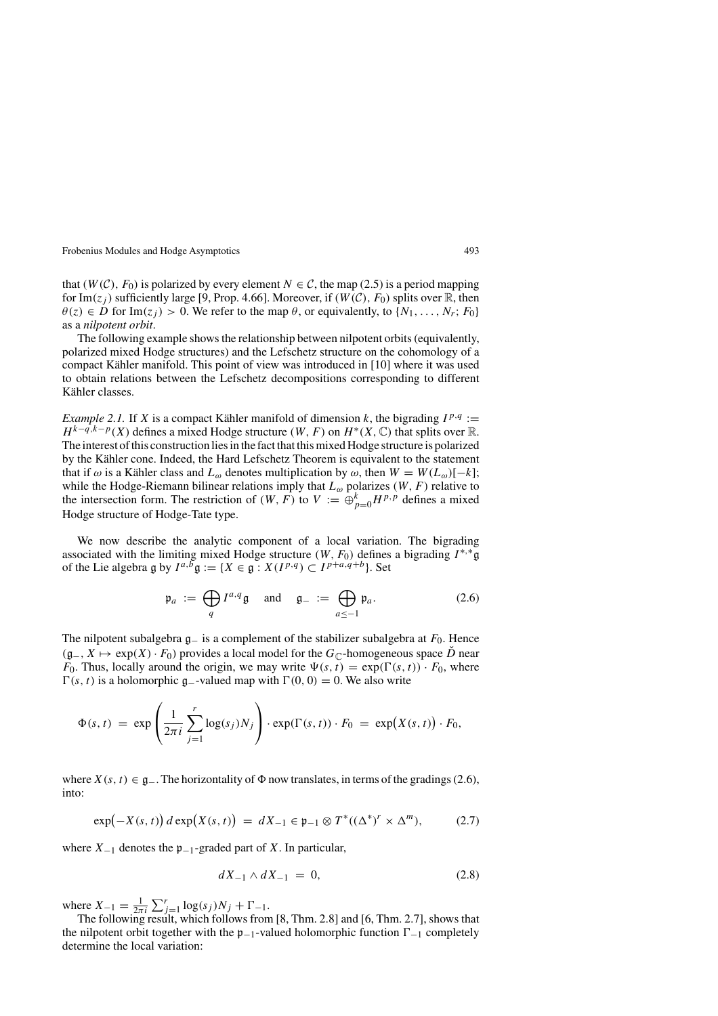that  $(W(\mathcal{C}), F_0)$  is polarized by every element  $N \in \mathcal{C}$ , the map (2.5) is a period mapping for Im( $z_i$ ) sufficiently large [9, Prop. 4.66]. Moreover, if  $(W(\mathcal{C}), F_0)$  splits over R, then  $\theta(z) \in D$  for Im $(z_i) > 0$ . We refer to the map  $\theta$ , or equivalently, to  $\{N_1, \ldots, N_r; F_0\}$ as a *nilpotent orbit*.

The following example shows the relationship between nilpotent orbits (equivalently, polarized mixed Hodge structures) and the Lefschetz structure on the cohomology of a compact Kähler manifold. This point of view was introduced in [10] where it was used to obtain relations between the Lefschetz decompositions corresponding to different Kähler classes.

*Example 2.1.* If *X* is a compact Kähler manifold of dimension *k*, the bigrading  $I^{p,q}$  :=  $H^{k-q,k-p}(X)$  defines a mixed Hodge structure *(W, F)* on  $H^*(X,\mathbb{C})$  that splits over R. The interest of this construction lies in the fact that this mixed Hodge structure is polarized by the Kähler cone. Indeed, the Hard Lefschetz Theorem is equivalent to the statement that if  $\omega$  is a Kähler class and  $L_{\omega}$  denotes multiplication by  $\omega$ , then  $W = W(L_{\omega})[-k];$ while the Hodge-Riemann bilinear relations imply that  $L_{\omega}$  polarizes  $(W, F)$  relative to the intersection form. The restriction of  $(W, F)$  to  $V := \bigoplus_{p=0}^{k} H^{p, p}$  defines a mixed Hodge structure of Hodge-Tate type.

We now describe the analytic component of a local variation. The bigrading associated with the limiting mixed Hodge structure  $(W, F_0)$  defines a bigrading  $I^{*,*}$ g of the Lie algebra g by  $I^{a,b}$   $g := \{ X \in g : X(I^{p,q}) \subset I^{p+a,q+b} \}.$  Set

$$
\mathfrak{p}_a := \bigoplus_q I^{a,q} \mathfrak{g} \quad \text{and} \quad \mathfrak{g}_- := \bigoplus_{a \le -1} \mathfrak{p}_a. \tag{2.6}
$$

The nilpotent subalgebra <sup>g</sup><sup>−</sup> is a complement of the stabilizer subalgebra at *<sup>F</sup>*0. Hence  $(g_-, X \mapsto \exp(X) \cdot F_0$  provides a local model for the  $G_{\mathbb{C}}$ -homogeneous space *D* near *F*<sub>0</sub>. Thus, locally around the origin, we may write  $\Psi(s, t) = \exp(\Gamma(s, t)) \cdot F_0$ , where  $\Gamma(s, t)$  is a holomorphic  $\mathfrak{g}_-$ -valued map with  $\Gamma(0, 0) = 0$ . We also write

$$
\Phi(s,t) = \exp\left(\frac{1}{2\pi i}\sum_{j=1}^r \log(s_j)N_j\right) \cdot \exp(\Gamma(s,t)) \cdot F_0 = \exp(X(s,t)) \cdot F_0,
$$

where  $X(s, t) \in \mathfrak{g}_-$ . The horizontality of  $\Phi$  now translates, in terms of the gradings (2.6), into:

$$
\exp(-X(s,t))\,d\exp\bigl(X(s,t)\bigr) \,=\, dX_{-1} \in \mathfrak{p}_{-1} \otimes T^*((\Delta^*)^r \times \Delta^m), \tag{2.7}
$$

where  $X_{-1}$  denotes the p<sub>−1</sub>-graded part of *X*. In particular,

$$
dX_{-1} \wedge dX_{-1} = 0, \tag{2.8}
$$

where  $X_{-1} = \frac{1}{2\pi i} \sum_{j=1}^{r} \log(s_j) N_j + \Gamma_{-1}$ .

The following result, which follows from [8, Thm. 2.8] and [6, Thm. 2.7], shows that the nilpotent orbit together with the  $\mathfrak{p}_{-1}$ -valued holomorphic function  $\Gamma_{-1}$  completely determine the local variation: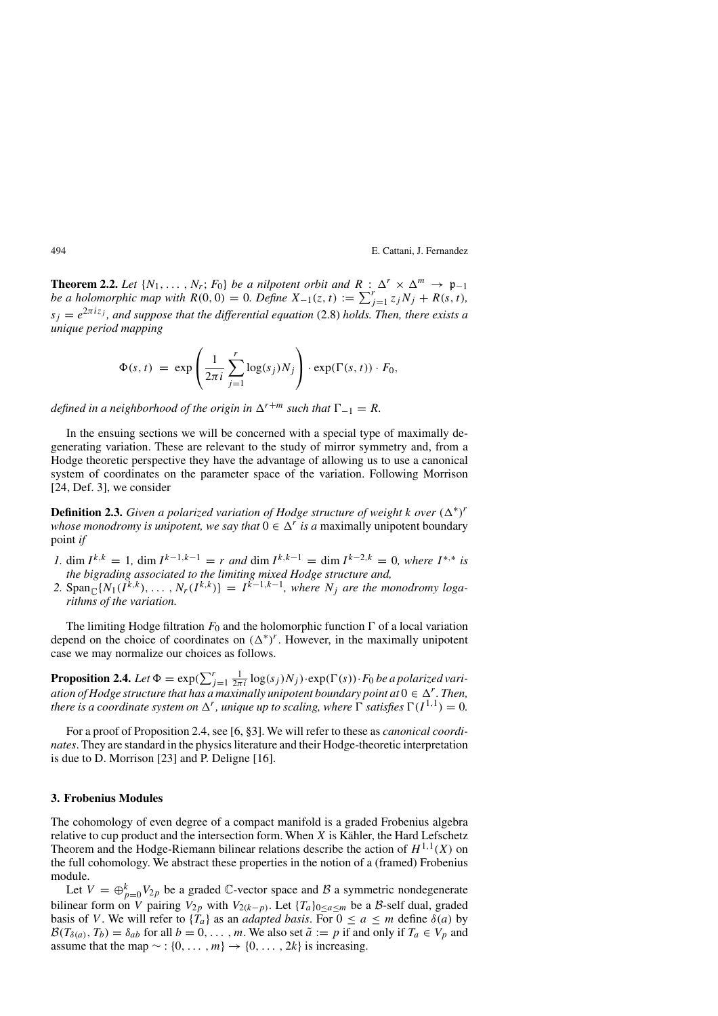**Theorem 2.2.** *Let*  $\{N_1, \ldots, N_r; F_0\}$  *be a nilpotent orbit and*  $R : \Delta^r \times \Delta^m \to \mathfrak{p}_{-1}$ *be a holomorphic map with*  $R(0, 0) = 0$ *. Define*  $X_{-1}(z, t) := \sum_{j=1}^{r} z_j N_j + R(s, t)$ ,  $s_i = e^{2\pi i z_j}$ , and suppose that the differential equation (2.8) holds. Then, there exists a *unique period mapping*

$$
\Phi(s, t) = \exp\left(\frac{1}{2\pi i} \sum_{j=1}^r \log(s_j) N_j\right) \cdot \exp(\Gamma(s, t)) \cdot F_0,
$$

*defined in a neighborhood of the origin in*  $\Delta^{r+m}$  *such that*  $\Gamma_{-1} = R$ *.* 

In the ensuing sections we will be concerned with a special type of maximally degenerating variation. These are relevant to the study of mirror symmetry and, from a Hodge theoretic perspective they have the advantage of allowing us to use a canonical system of coordinates on the parameter space of the variation. Following Morrison [24, Def. 3], we consider

**Definition 2.3.** *Given a polarized variation of Hodge structure of weight k over*  $(\Delta^*)^r$ *whose monodromy is unipotent, we say that*  $0 \in \Delta^r$  *is a* maximally unipotent boundary point *if*

- *I*, dim  $I^{k,k} = 1$ , dim  $I^{k-1,k-1} = r$  *and* dim  $I^{k,k-1} = \dim I^{k-2,k} = 0$ , where  $I^{*,*}$  *is the bigrading associated to the limiting mixed Hodge structure and,*
- 2.  $\text{Span}_{\mathbb{C}}\{N_1(I^{\kappa,k}),\ldots,N_r(I^{k,k})\} = I^{\kappa-1,k-1}$ , where  $N_i$  are the monodromy loga*rithms of the variation.*

The limiting Hodge filtration  $F_0$  and the holomorphic function  $\Gamma$  of a local variation depend on the choice of coordinates on  $(\Delta^*)^r$ . However, in the maximally unipotent case we may normalize our choices as follows.

**Proposition 2.4.** Let  $\Phi = \exp(\sum_{j=1}^r \frac{1}{2\pi i} \log(s_j) N_j) \cdot \exp(\Gamma(s)) \cdot F_0$  *be a polarized variation of Hodge structure that has a maximally unipotent boundary point at*  $0 \in \Delta^r$ . Then, *there is a coordinate system on*  $\Delta^r$ *, unique up to scaling, where*  $\Gamma$  *satisfies*  $\Gamma(I^{1,1}) = 0$ *.* 

For a proof of Proposition 2.4, see [6, §3]. We will refer to these as *canonical coordinates*. They are standard in the physics literature and their Hodge-theoretic interpretation is due to D. Morrison [23] and P. Deligne [16].

### **3. Frobenius Modules**

The cohomology of even degree of a compact manifold is a graded Frobenius algebra relative to cup product and the intersection form. When  $X$  is Kähler, the Hard Lefschetz Theorem and the Hodge-Riemann bilinear relations describe the action of  $H^{1,1}(X)$  on the full cohomology. We abstract these properties in the notion of a (framed) Frobenius module.

Let  $V = \bigoplus_{p=0}^{k} V_{2p}$  be a graded  $\mathbb{C}$ -vector space and  $\mathcal{B}$  a symmetric nondegenerate bilinear form on *V* pairing  $V_{2p}$  with  $V_{2(k-p)}$ . Let  $\{T_a\}_{0 \le a \le m}$  be a *B*-self dual, graded basis of *V*. We will refer to  $\{T_a\}$  as an *adapted basis*. For  $0 \le a \le m$  define  $\delta(a)$  by  $\mathcal{B}(T_{\delta(a)}, T_b) = \delta_{ab}$  for all  $b = 0, \ldots, m$ . We also set  $\tilde{a} := p$  if and only if  $T_a \in V_p$  and assume that the map  $\sim$  : {0,..., *m*}  $\rightarrow$  {0,..., 2*k*} is increasing.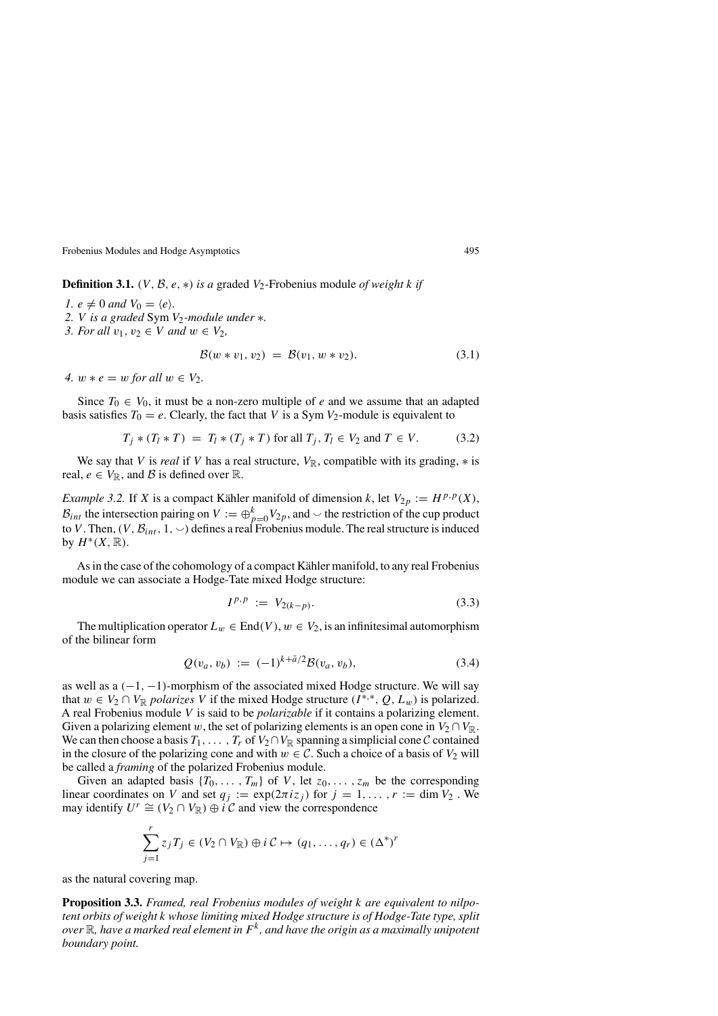**Definition 3.1.** *(V, B, e, \*) is a* graded  $V_2$ -Frobenius module *of weight k if* 

*1.*  $e \neq 0$  *and*  $V_0 = \langle e \rangle$ *. 2. V is a graded* Sym *V*2*-module under* ∗*. 3. For all*  $v_1, v_2 \in V$  *and*  $w \in V_2$ *,* 

$$
\mathcal{B}(w * v_1, v_2) = \mathcal{B}(v_1, w * v_2). \tag{3.1}
$$

*4.*  $w * e = w$  *for all*  $w \in V_2$ .

Since  $T_0 \in V_0$ , it must be a non-zero multiple of *e* and we assume that an adapted basis satisfies  $T_0 = e$ . Clearly, the fact that *V* is a Sym  $V_2$ -module is equivalent to

$$
T_j * (T_l * T) = T_l * (T_j * T) \text{ for all } T_j, T_l \in V_2 \text{ and } T \in V. \tag{3.2}
$$

We say that *V* is *real* if *V* has a real structure,  $V_{\mathbb{R}}$ , compatible with its grading,  $*$  is real,  $e \in V_{\mathbb{R}}$ , and  $\mathcal{B}$  is defined over  $\mathbb{R}$ .

*Example 3.2.* If *X* is a compact Kähler manifold of dimension *k*, let  $V_{2p} := H^{p,p}(X)$ ,  $B_{int}$  the intersection pairing on  $V := \bigoplus_{p=0}^{k} V_{2p}$ , and  $\smile$  the restriction of the cup product to *V*. Then,  $(V, \mathcal{B}_{int}, 1, \vee)$  defines a real Frobenius module. The real structure is induced by  $H^*(X,\mathbb{R})$ .

As in the case of the cohomology of a compact Kähler manifold, to any real Frobenius module we can associate a Hodge-Tate mixed Hodge structure:

$$
I^{p,p} := V_{2(k-p)}.
$$
\n(3.3)

The multiplication operator  $L_w \in \text{End}(V)$ ,  $w \in V_2$ , is an infinitesimal automorphism of the bilinear form

$$
Q(v_a, v_b) := (-1)^{k + \tilde{a}/2} \mathcal{B}(v_a, v_b), \tag{3.4}
$$

as well as a *(*−1*,* −1*)*-morphism of the associated mixed Hodge structure. We will say that  $w \in V_2 \cap V_{\mathbb{R}}$  *polarizes V* if the mixed Hodge structure  $(I^{*,*}, Q, L_w)$  is polarized. A real Frobenius module *V* is said to be *polarizable* if it contains a polarizing element. Given a polarizing element *w*, the set of polarizing elements is an open cone in  $V_2 \cap V_{\mathbb{R}}$ . We can then choose a basis  $T_1, \ldots, T_r$  of  $V_2 \cap V_{\mathbb{R}}$  spanning a simplicial cone C contained in the closure of the polarizing cone and with  $w \in C$ . Such a choice of a basis of  $V_2$  will be called a *framing* of the polarized Frobenius module.

Given an adapted basis  $\{T_0, \ldots, T_m\}$  of *V*, let  $z_0, \ldots, z_m$  be the corresponding linear coordinates on *V* and set  $q_j := \exp(2\pi i z_j)$  for  $j = 1, ..., r := \dim V_2$ . We may identify  $U^r \cong (V_2 \cap V_{\mathbb{R}}) \oplus i \mathcal{C}$  and view the correspondence

$$
\sum_{j=1}^r z_j T_j \in (V_2 \cap V_{\mathbb{R}}) \oplus i \mathcal{C} \mapsto (q_1, \dots, q_r) \in (\Delta^*)^r
$$

as the natural covering map.

**Proposition 3.3.** *Framed, real Frobenius modules of weight k are equivalent to nilpotent orbits of weight k whose limiting mixed Hodge structure is of Hodge-Tate type, split over* R*, have a marked real element in Fk, and have the origin as a maximally unipotent boundary point.*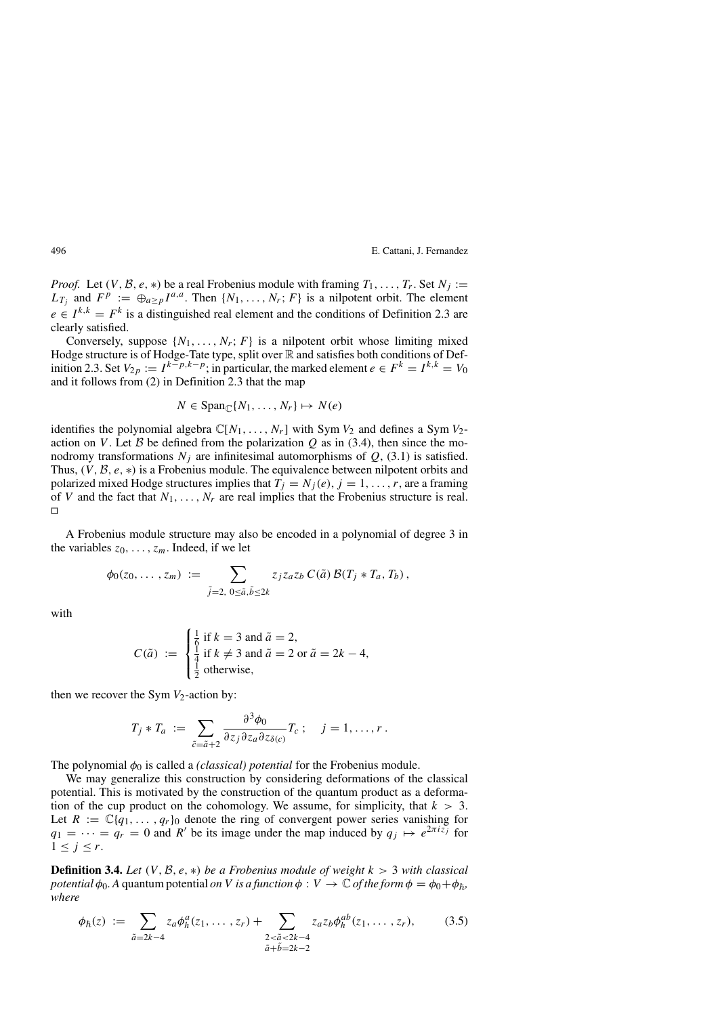*Proof.* Let  $(V, \mathcal{B}, e, *)$  be a real Frobenius module with framing  $T_1, \ldots, T_r$ . Set  $N_i :=$  $L_{T_i}$  and  $F^p := \bigoplus_{a > p} I^{a,a}$ . Then  $\{N_1, \ldots, N_r; F\}$  is a nilpotent orbit. The element  $e \in I^{k,k} = F^k$  is a distinguished real element and the conditions of Definition 2.3 are clearly satisfied.

Conversely, suppose  $\{N_1, \ldots, N_r; F\}$  is a nilpotent orbit whose limiting mixed Hodge structure is of Hodge-Tate type, split over  $\mathbb R$  and satisfies both conditions of Definition 2.3. Set  $V_{2p} := I^{k-p,k-p}$ ; in particular, the marked element  $e \in F^k = I^{k,k} = V_0$ and it follows from (2) in Definition 2.3 that the map

$$
N \in \text{Span}_{\mathbb{C}}\{N_1, \ldots, N_r\} \mapsto N(e)
$$

identifies the polynomial algebra  $\mathbb{C}[N_1,\ldots,N_r]$  with Sym  $V_2$  and defines a Sym  $V_2$ action on *V*. Let B be defined from the polarization Q as in (3.4), then since the monodromy transformations  $N_i$  are infinitesimal automorphisms of  $Q$ , (3.1) is satisfied. Thus, *(V ,* <sup>B</sup>*, e,* <sup>∗</sup>*)* is a Frobenius module. The equivalence between nilpotent orbits and polarized mixed Hodge structures implies that  $T_j = N_j(e)$ ,  $j = 1, \ldots, r$ , are a framing of *V* and the fact that  $N_1, \ldots, N_r$  are real implies that the Frobenius structure is real.  $\Box$ 

A Frobenius module structure may also be encoded in a polynomial of degree 3 in the variables  $z_0, \ldots, z_m$ . Indeed, if we let

$$
\phi_0(z_0,\ldots,z_m) := \sum_{\tilde{j}=2,\ 0\leq \tilde{a},\tilde{b}\leq 2k} z_j z_a z_b C(\tilde{a}) \mathcal{B}(T_j * T_a,T_b),
$$

with

$$
C(\tilde{a}) := \begin{cases} \frac{1}{6} \text{ if } k = 3 \text{ and } \tilde{a} = 2, \\ \frac{1}{4} \text{ if } k \neq 3 \text{ and } \tilde{a} = 2 \text{ or } \tilde{a} = 2k - 4, \\ \frac{1}{2} \text{ otherwise,} \end{cases}
$$

then we recover the Sym  $V_2$ -action by:

$$
T_j * T_a := \sum_{\tilde{c} = \tilde{a} + 2} \frac{\partial^3 \phi_0}{\partial z_j \partial z_a \partial z_{\delta(c)}} T_c ; \quad j = 1, \ldots, r.
$$

The polynomial  $\phi_0$  is called a *(classical) potential* for the Frobenius module.

We may generalize this construction by considering deformations of the classical potential. This is motivated by the construction of the quantum product as a deformation of the cup product on the cohomology. We assume, for simplicity, that  $k > 3$ . Let  $R := \mathbb{C}{q_1, \ldots, q_r}$  denote the ring of convergent power series vanishing for  $q_1 = \cdots = q_r = 0$  and *R'* be its image under the map induced by  $q_j \mapsto e^{2\pi i z_j}$  for  $1 \leq j \leq r$ .

**Definition 3.4.** Let  $(V, \mathcal{B}, e, *)$  be a Frobenius module of weight  $k > 3$  with classical *potential*  $\phi_0$ . A quantum potential *on V is a function*  $\phi: V \to \mathbb{C}$  *of the form*  $\phi = \phi_0 + \phi_{\hbar}$ , *where*

$$
\phi_{\hbar}(z) := \sum_{\tilde{a}=2k-4} z_a \phi_{\hbar}^a(z_1, \ldots, z_r) + \sum_{\substack{2 < \tilde{a} < 2k-4 \\ \tilde{a} + \tilde{b} = 2k-2}} z_a z_b \phi_{\hbar}^{ab}(z_1, \ldots, z_r), \tag{3.5}
$$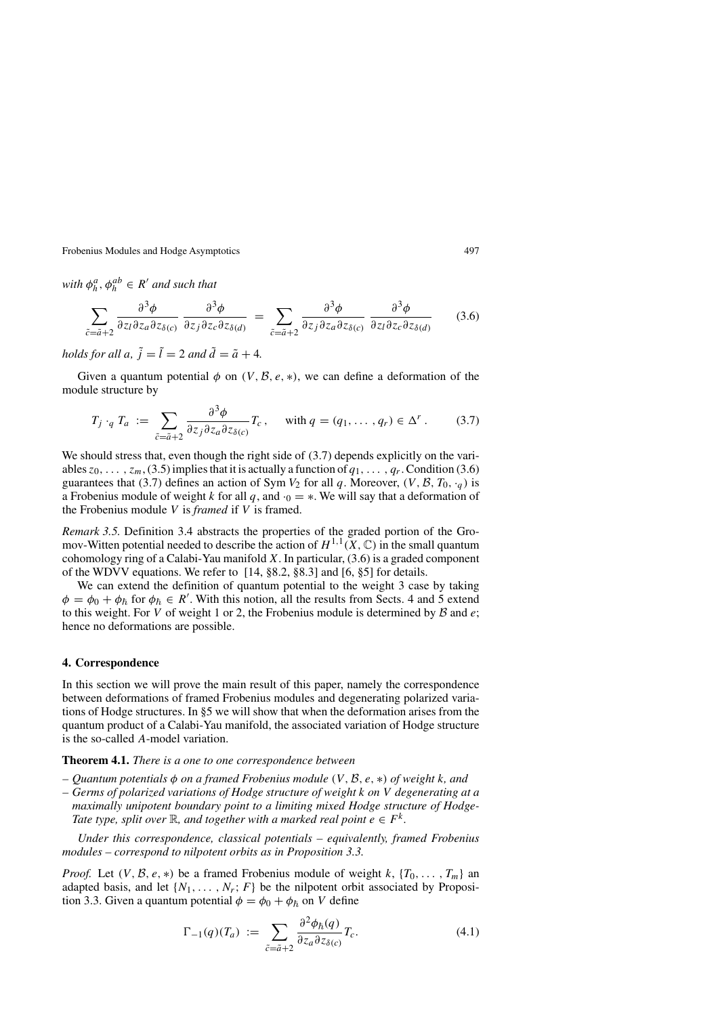*with*  $\phi_h^a, \phi_h^{ab} \in R'$  *and such that* 

$$
\sum_{\tilde{c}=\tilde{a}+2} \frac{\partial^3 \phi}{\partial z_l \partial z_a \partial z_{\delta(c)}} \frac{\partial^3 \phi}{\partial z_j \partial z_c \partial z_{\delta(d)}} = \sum_{\tilde{c}=\tilde{a}+2} \frac{\partial^3 \phi}{\partial z_j \partial z_a \partial z_{\delta(c)}} \frac{\partial^3 \phi}{\partial z_l \partial z_c \partial z_{\delta(d)}} \tag{3.6}
$$

*holds for all a,*  $\tilde{j} = \tilde{l} = 2$  *and*  $\tilde{d} = \tilde{a} + 4$ *.* 

Given a quantum potential  $\phi$  on  $(V, \mathcal{B}, e, *)$ , we can define a deformation of the module structure by

$$
T_j \cdot_q T_a := \sum_{\tilde{c} = \tilde{a}+2} \frac{\partial^3 \phi}{\partial z_j \partial z_a \partial z_{\delta(c)}} T_c, \quad \text{with } q = (q_1, \dots, q_r) \in \Delta^r. \tag{3.7}
$$

We should stress that, even though the right side of  $(3.7)$  depends explicitly on the variables  $z_0$ , ...,  $z_m$ , (3.5) implies that it is actually a function of  $q_1$ , ...,  $q_r$ . Condition (3.6) guarantees that (3.7) defines an action of Sym  $V_2$  for all *q*. Moreover,  $(V, \mathcal{B}, T_0, \cdot_q)$  is a Frobenius module of weight *k* for all  $q$ , and  $\cdot$ <sub>0</sub> = \*. We will say that a deformation of the Frobenius module *V* is *framed* if *V* is framed.

*Remark 3.5.* Definition 3.4 abstracts the properties of the graded portion of the Gromov-Witten potential needed to describe the action of  $H^{1,1}(X,\mathbb{C})$  in the small quantum cohomology ring of a Calabi-Yau manifold *X*. In particular, (3.6) is a graded component of the WDVV equations. We refer to [14, §8.2, §8.3] and [6, §5] for details.

We can extend the definition of quantum potential to the weight 3 case by taking  $\phi = \phi_0 + \phi_{\hbar}$  for  $\phi_{\hbar} \in R'$ . With this notion, all the results from Sects. 4 and 5 extend to this weight. For *<sup>V</sup>* of weight 1 or 2, the Frobenius module is determined by <sup>B</sup> and *<sup>e</sup>*; hence no deformations are possible.

#### **4. Correspondence**

In this section we will prove the main result of this paper, namely the correspondence between deformations of framed Frobenius modules and degenerating polarized variations of Hodge structures. In §5 we will show that when the deformation arises from the quantum product of a Calabi-Yau manifold, the associated variation of Hodge structure is the so-called *A*-model variation.

#### **Theorem 4.1.** *There is a one to one correspondence between*

- *Quantum potentials <sup>φ</sup> on a framed Frobenius module (V ,* <sup>B</sup>*, e,* <sup>∗</sup>*) of weight <sup>k</sup>, and*
- *Germs of polarized variations of Hodge structure of weight k on V degenerating at a maximally unipotent boundary point to a limiting mixed Hodge structure of Hodge-Tate type, split over*  $\mathbb{R}$ *, and together with a marked real point*  $e \in F^k$ *.*

*Under this correspondence, classical potentials – equivalently, framed Frobenius modules – correspond to nilpotent orbits as in Proposition 3.3.*

*Proof.* Let  $(V, \mathcal{B}, e, *)$  be a framed Frobenius module of weight k,  $\{T_0, \ldots, T_m\}$  an adapted basis, and let  $\{N_1, \ldots, N_r; F\}$  be the nilpotent orbit associated by Proposition 3.3. Given a quantum potential  $\phi = \phi_0 + \phi_{\hbar}$  on *V* define

$$
\Gamma_{-1}(q)(T_a) := \sum_{\tilde{c} = \tilde{a}+2} \frac{\partial^2 \phi_{\tilde{h}}(q)}{\partial z_a \partial z_{\delta(c)}} T_c.
$$
\n(4.1)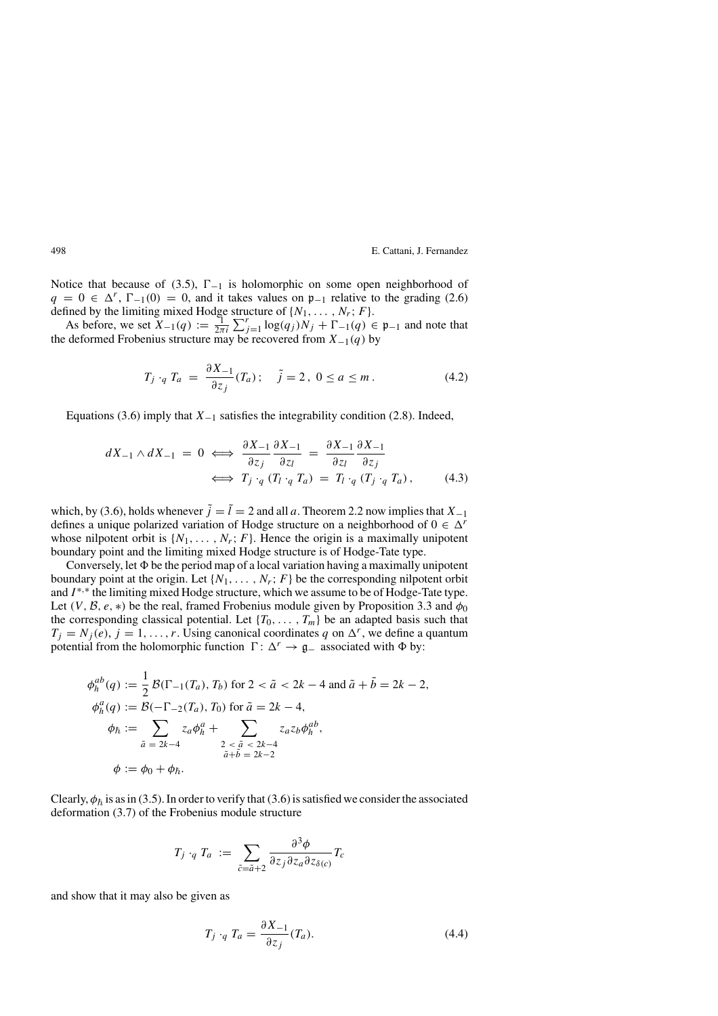Notice that because of (3.5),  $\Gamma_{-1}$  is holomorphic on some open neighborhood of  $q = 0 \in \Delta^r$ ,  $\Gamma_{-1}(0) = 0$ , and it takes values on  $\mathfrak{p}_{-1}$  relative to the grading (2.6) defined by the limiting mixed Hodge structure of  $\{N_1, \ldots, N_r; F\}$ .

As before, we set  $X_{-1}(q) := \frac{1}{2\pi i} \sum_{j=1}^{r} \log(q_j) N_j + \Gamma_{-1}(q) \in \mathfrak{p}_{-1}$  and note that deformed Frobenius structure may be recovered from  $X_{-1}(q)$  by the deformed Frobenius structure may be recovered from *X*−1*(q)* by

$$
T_j \cdot_q T_a \ = \ \frac{\partial X_{-1}}{\partial z_j} (T_a) \, ; \quad \tilde{j} = 2 \, , \ 0 \le a \le m \, . \tag{4.2}
$$

Equations (3.6) imply that *X*−<sup>1</sup> satisfies the integrability condition (2.8). Indeed,

$$
dX_{-1} \wedge dX_{-1} = 0 \iff \frac{\partial X_{-1}}{\partial z_j} \frac{\partial X_{-1}}{\partial z_l} = \frac{\partial X_{-1}}{\partial z_l} \frac{\partial X_{-1}}{\partial z_j}
$$
  

$$
\iff T_j \cdot_q (T_l \cdot_q T_a) = T_l \cdot_q (T_j \cdot_q T_a), \qquad (4.3)
$$

which, by (3.6), holds whenever  $\tilde{j} = \tilde{l} = 2$  and all *a*. Theorem 2.2 now implies that  $X_{-1}$ defines a unique polarized variation of Hodge structure on a neighborhood of  $0 \in \Delta^r$ whose nilpotent orbit is  $\{N_1, \ldots, N_r; F\}$ . Hence the origin is a maximally unipotent boundary point and the limiting mixed Hodge structure is of Hodge-Tate type.

Conversely, let  $\Phi$  be the period map of a local variation having a maximally unipotent boundary point at the origin. Let  $\{N_1, \ldots, N_r; F\}$  be the corresponding nilpotent orbit and *I* <sup>∗</sup>*,*<sup>∗</sup> the limiting mixed Hodge structure, which we assume to be of Hodge-Tate type. Let *(V, B, e, \*)* be the real, framed Frobenius module given by Proposition 3.3 and  $\phi_0$ the corresponding classical potential. Let  ${T_0, \ldots, T_m}$  be an adapted basis such that  $T_j = N_j(e)$ ,  $j = 1, \ldots, r$ . Using canonical coordinates *q* on  $\Delta^r$ , we define a quantum potential from the holomorphic function  $\Gamma: \Delta^r \to \mathfrak{g}_-$  associated with  $\Phi$  by:

$$
\phi_h^{ab}(q) := \frac{1}{2} \mathcal{B}(\Gamma_{-1}(T_a), T_b) \text{ for } 2 < \tilde{a} < 2k - 4 \text{ and } \tilde{a} + \tilde{b} = 2k - 2,
$$
  
\n
$$
\phi_h^a(q) := \mathcal{B}(-\Gamma_{-2}(T_a), T_0) \text{ for } \tilde{a} = 2k - 4,
$$
  
\n
$$
\phi_h := \sum_{\tilde{a} = 2k - 4} z_a \phi_h^a + \sum_{\substack{2 < \tilde{a} < 2k - 4 \\ \tilde{a} + \tilde{b} = 2k - 2}} z_a z_b \phi_h^{ab},
$$
  
\n
$$
\phi := \phi_0 + \phi_h.
$$

Clearly,  $\phi_h$  is as in (3.5). In order to verify that (3.6) is satisfied we consider the associated deformation (3.7) of the Frobenius module structure

$$
T_j \cdot_q T_a := \sum_{\tilde{c} = \tilde{a} + 2} \frac{\partial^3 \phi}{\partial z_j \partial z_a \partial z_{\delta(c)}} T_c
$$

and show that it may also be given as

$$
T_j \cdot_q T_a = \frac{\partial X_{-1}}{\partial z_j} (T_a). \tag{4.4}
$$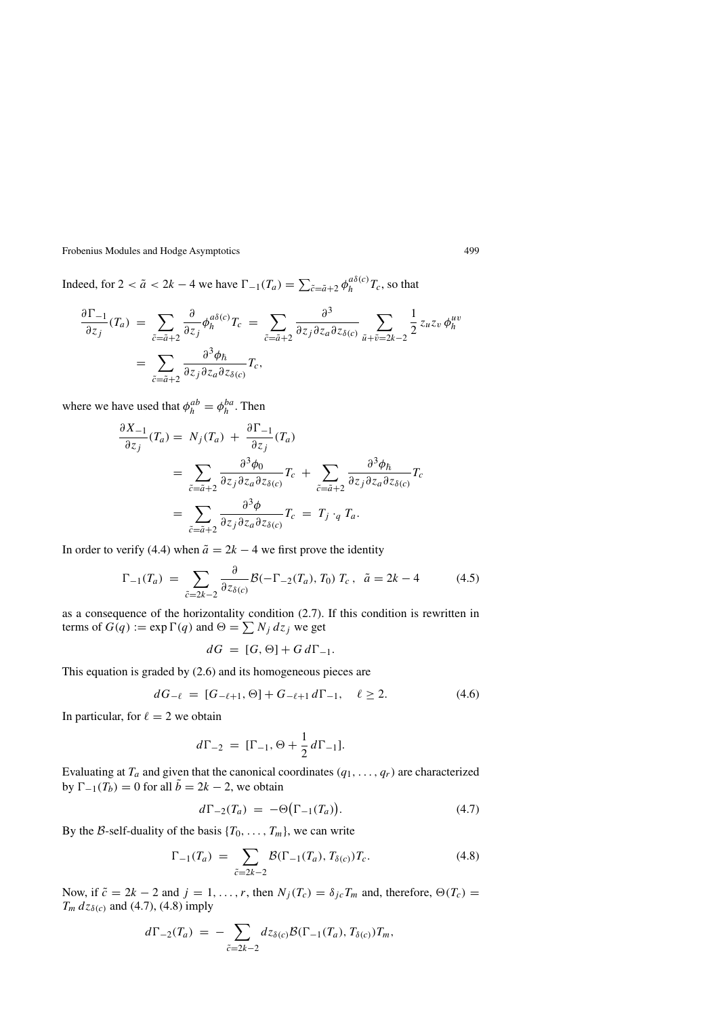Indeed, for  $2 < \tilde{a} < 2k - 4$  we have  $\Gamma_{-1}(T_a) = \sum_{\tilde{c} = \tilde{a} + 2} \phi_h^{a\delta(c)} T_c$ , so that

$$
\frac{\partial \Gamma_{-1}}{\partial z_j}(T_a) = \sum_{\tilde{c} = \tilde{a}+2} \frac{\partial}{\partial z_j} \phi_h^{a\delta(c)} T_c = \sum_{\tilde{c} = \tilde{a}+2} \frac{\partial^3}{\partial z_j \partial z_a \partial z_{\delta(c)}} \sum_{\tilde{u}+\tilde{v}=2k-2} \frac{1}{2} z_u z_v \phi_h^{uv}
$$

$$
= \sum_{\tilde{c} = \tilde{a}+2} \frac{\partial^3 \phi_\hbar}{\partial z_j \partial z_a \partial z_{\delta(c)}} T_c,
$$

where we have used that  $\phi_h^{ab} = \phi_h^{ba}$ . Then

$$
\frac{\partial X_{-1}}{\partial z_j}(T_a) = N_j(T_a) + \frac{\partial \Gamma_{-1}}{\partial z_j}(T_a)
$$
  
= 
$$
\sum_{\tilde{c} = \tilde{a}+2} \frac{\partial^3 \phi_0}{\partial z_j \partial z_a \partial z_{\delta(c)}} T_c + \sum_{\tilde{c} = \tilde{a}+2} \frac{\partial^3 \phi_{\tilde{h}}}{\partial z_j \partial z_a \partial z_{\delta(c)}} T_c
$$
  
= 
$$
\sum_{\tilde{c} = \tilde{a}+2} \frac{\partial^3 \phi}{\partial z_j \partial z_a \partial z_{\delta(c)}} T_c = T_j \cdot_q T_a.
$$

In order to verify (4.4) when  $\tilde{a} = 2k - 4$  we first prove the identity

$$
\Gamma_{-1}(T_a) \ = \ \sum_{\tilde{c}=2k-2} \frac{\partial}{\partial z_{\delta(c)}} \mathcal{B}(-\Gamma_{-2}(T_a), T_0) \ T_c \ , \ \ \tilde{a} = 2k - 4 \tag{4.5}
$$

as a consequence of the horizontality condition (2.7). If this condition is rewritten in terms of  $G(q) := \exp \Gamma(q)$  and  $\Theta = \sum N_i dz_i$  we get

$$
dG = [G, \Theta] + G d\Gamma_{-1}.
$$

This equation is graded by (2.6) and its homogeneous pieces are

$$
dG_{-\ell} = [G_{-\ell+1}, \Theta] + G_{-\ell+1} d\Gamma_{-1}, \quad \ell \ge 2.
$$
 (4.6)

In particular, for  $\ell = 2$  we obtain

$$
d\Gamma_{-2} = [\Gamma_{-1}, \Theta + \frac{1}{2} d\Gamma_{-1}].
$$

Evaluating at  $T_a$  and given that the canonical coordinates  $(q_1, \ldots, q_r)$  are characterized by  $\Gamma_{-1}(T_b) = 0$  for all  $\tilde{b} = 2k - 2$ , we obtain

$$
d\Gamma_{-2}(T_a) = -\Theta\big(\Gamma_{-1}(T_a)\big). \tag{4.7}
$$

By the B-self-duality of the basis  ${T_0, \ldots, T_m}$ , we can write

$$
\Gamma_{-1}(T_a) = \sum_{\tilde{c}=2k-2} \mathcal{B}(\Gamma_{-1}(T_a), T_{\delta(c)}) T_c.
$$
 (4.8)

Now, if  $\tilde{c} = 2k - 2$  and  $j = 1, \ldots, r$ , then  $N_j(T_c) = \delta_{jc}T_m$  and, therefore,  $\Theta(T_c)$  $T_m$  *d* $z_{\delta(c)}$  and (4.7), (4.8) imply

$$
d\Gamma_{-2}(T_a) = -\sum_{\tilde{c}=2k-2} dz_{\delta(c)} \mathcal{B}(\Gamma_{-1}(T_a), T_{\delta(c)}) T_m,
$$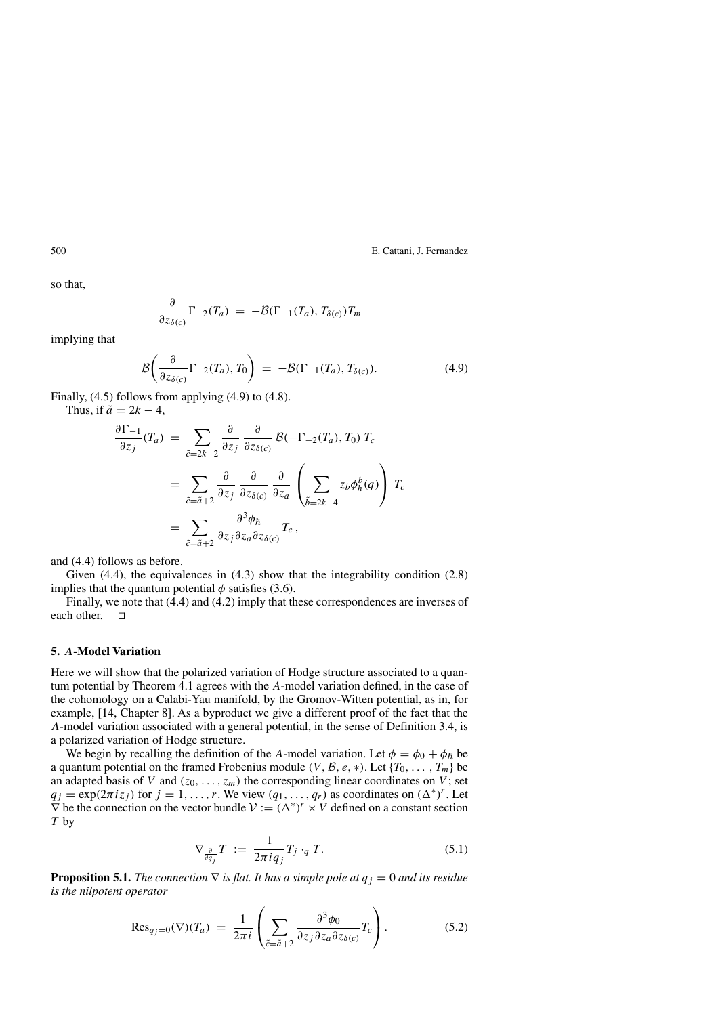so that,

$$
\frac{\partial}{\partial z_{\delta(c)}}\Gamma_{-2}(T_a) = -\mathcal{B}(\Gamma_{-1}(T_a), T_{\delta(c)})T_m
$$

implying that

$$
\mathcal{B}\left(\frac{\partial}{\partial z_{\delta(c)}}\Gamma_{-2}(T_a), T_0\right) = -\mathcal{B}(\Gamma_{-1}(T_a), T_{\delta(c)}).
$$
\n(4.9)

Finally, (4.5) follows from applying (4.9) to (4.8).

Thus, if  $\tilde{a} = 2k - 4$ ,

$$
\frac{\partial \Gamma_{-1}}{\partial z_j}(T_a) = \sum_{\tilde{c}=2k-2} \frac{\partial}{\partial z_j} \frac{\partial}{\partial z_{\delta(c)}} \mathcal{B}(-\Gamma_{-2}(T_a), T_0) T_c
$$

$$
= \sum_{\tilde{c}=\tilde{a}+2} \frac{\partial}{\partial z_j} \frac{\partial}{\partial z_{\delta(c)}} \frac{\partial}{\partial z_a} \left( \sum_{\tilde{b}=2k-4} z_b \phi_h^b(q) \right) T_c
$$

$$
= \sum_{\tilde{c}=\tilde{a}+2} \frac{\partial^3 \phi_h}{\partial z_j \partial z_a \partial z_{\delta(c)}} T_c,
$$

and (4.4) follows as before.

Given (4.4), the equivalences in (4.3) show that the integrability condition (2.8) implies that the quantum potential  $\phi$  satisfies (3.6).

Finally, we note that (4.4) and (4.2) imply that these correspondences are inverses of each other.  $\Box$ 

#### **5.** *A***-Model Variation**

Here we will show that the polarized variation of Hodge structure associated to a quantum potential by Theorem 4.1 agrees with the *A*-model variation defined, in the case of the cohomology on a Calabi-Yau manifold, by the Gromov-Witten potential, as in, for example, [14, Chapter 8]. As a byproduct we give a different proof of the fact that the *A*-model variation associated with a general potential, in the sense of Definition 3.4, is a polarized variation of Hodge structure.

We begin by recalling the definition of the *A*-model variation. Let  $\phi = \phi_0 + \phi_{\hbar}$  be a quantum potential on the framed Frobenius module *(V, B, e, \*)*. Let  $\{T_0, \ldots, T_m\}$  be an adapted basis of *V* and  $(z_0, \ldots, z_m)$  the corresponding linear coordinates on *V*; set  $q_j = \exp(2\pi i z_j)$  for  $j = 1, ..., r$ . We view  $(q_1, ..., q_r)$  as coordinates on  $({\Delta}^*)^r$ . Let  $\nabla$  be the connection on the vector bundle  $V := (\Delta^*)^r \times V$  defined on a constant section *T* by

$$
\nabla_{\frac{\partial}{\partial q_j}} T := \frac{1}{2\pi i q_j} T_j \cdot_q T. \tag{5.1}
$$

**Proposition 5.1.** *The connection*  $\nabla$  *is flat. It has a simple pole at*  $q_j = 0$  *and its residue is the nilpotent operator*

$$
\text{Res}_{q_j=0}(\nabla)(T_a) = \frac{1}{2\pi i} \left( \sum_{\tilde{c}=\tilde{a}+2} \frac{\partial^3 \phi_0}{\partial z_j \partial z_a \partial z_{\delta(c)}} T_c \right).
$$
 (5.2)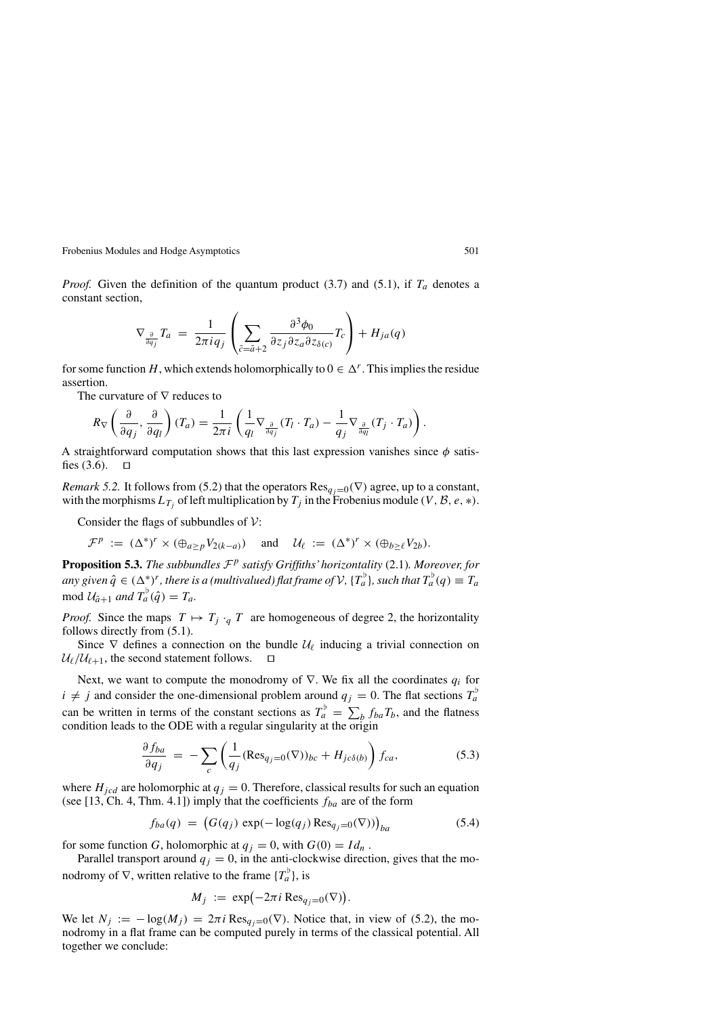*Proof.* Given the definition of the quantum product (3.7) and (5.1), if  $T_a$  denotes a constant section,

$$
\nabla_{\frac{\partial}{\partial q_j}} T_a = \frac{1}{2\pi i q_j} \left( \sum_{\tilde{c} = \tilde{a}+2} \frac{\partial^3 \phi_0}{\partial z_j \partial z_a \partial z_{\delta(c)}} T_c \right) + H_{ja}(q)
$$

for some function *H*, which extends holomorphically to  $0 \in \Delta^r$ . This implies the residue assertion.

The curvature of  $\nabla$  reduces to

$$
R_{\nabla}\left(\frac{\partial}{\partial q_j},\frac{\partial}{\partial q_l}\right)(T_a) = \frac{1}{2\pi i}\left(\frac{1}{q_l}\nabla_{\frac{\partial}{\partial q_j}}(T_l\cdot T_a) - \frac{1}{q_j}\nabla_{\frac{\partial}{\partial q_l}}(T_j\cdot T_a)\right).
$$

A straightforward computation shows that this last expression vanishes since *φ* satisfies  $(3.6)$ .  $\Box$ 

*Remark 5.2.* It follows from (5.2) that the operators  $\text{Res}_{q_j=0}(\nabla)$  agree, up to a constant, with the morphisms  $L_{T_i}$  of left multiplication by  $T_j$  in the Frobenius module *(V, B, e, \*)*.

Consider the flags of subbundles of  $\mathcal V$ :

$$
\mathcal{F}^p := (\Delta^*)^r \times (\oplus_{a \geq p} V_{2(k-a)}) \quad \text{and} \quad \mathcal{U}_{\ell} := (\Delta^*)^r \times (\oplus_{b \geq \ell} V_{2b}).
$$

**Proposition 5.3.** *The subbundles* <sup>F</sup>*<sup>p</sup> satisfy Griffiths'horizontality* (2.1)*. Moreover, for any* given  $\hat{q} \in (\Delta^*)^r$ , there is a (multivalued) flat frame of  $V$ ,  $\{T_a^b\}$ , such that  $T_a^b(q) \equiv T_a$  $\text{mod } \mathcal{U}_{\tilde{a}+1}$  *and*  $T_a^{\flat}(\hat{q}) = T_a$ .

*Proof.* Since the maps  $T \mapsto T_j \cdot_q T$  are homogeneous of degree 2, the horizontality follows directly from (5.1).

Since  $\nabla$  defines a connection on the bundle  $\mathcal{U}_{\ell}$  inducing a trivial connection on  $U_{\ell}/U_{\ell+1}$ , the second statement follows.  $\square$ 

Next, we want to compute the monodromy of ∇. We fix all the coordinates *qi* for  $i \neq j$  and consider the one-dimensional problem around  $q_j = 0$ . The flat sections  $T_a^{\dagger}$ can be written in terms of the constant sections as  $T_a^b = \sum_b f_{ba}T_b$ , and the flatness condition leads to the ODE with a regular singularity at the origin

$$
\frac{\partial f_{ba}}{\partial q_j} = -\sum_c \left( \frac{1}{q_j} (\text{Res}_{q_j=0}(\nabla))_{bc} + H_{jc\delta(b)} \right) f_{ca},\tag{5.3}
$$

where  $H_{\text{icd}}$  are holomorphic at  $q_j = 0$ . Therefore, classical results for such an equation (see [13, Ch. 4, Thm. 4.1]) imply that the coefficients *fba* are of the form

$$
f_{ba}(q) = (G(q_j) \exp(-\log(q_j) \operatorname{Res}_{q_j=0}(\nabla)))_{ba}
$$
 (5.4)

for some function *G*, holomorphic at  $q_j = 0$ , with  $G(0) = Id_n$ .

Parallel transport around  $q_j = 0$ , in the anti-clockwise direction, gives that the monodromy of  $\nabla$ , written relative to the frame  $\{T_a^{\dagger}\}\)$ , is

$$
M_j := \exp(-2\pi i \operatorname{Res}_{q_j=0}(\nabla)).
$$

We let  $N_i := -\log(M_i) = 2\pi i \operatorname{Res}_{q_i=0}(\nabla)$ . Notice that, in view of (5.2), the monodromy in a flat frame can be computed purely in terms of the classical potential. All together we conclude: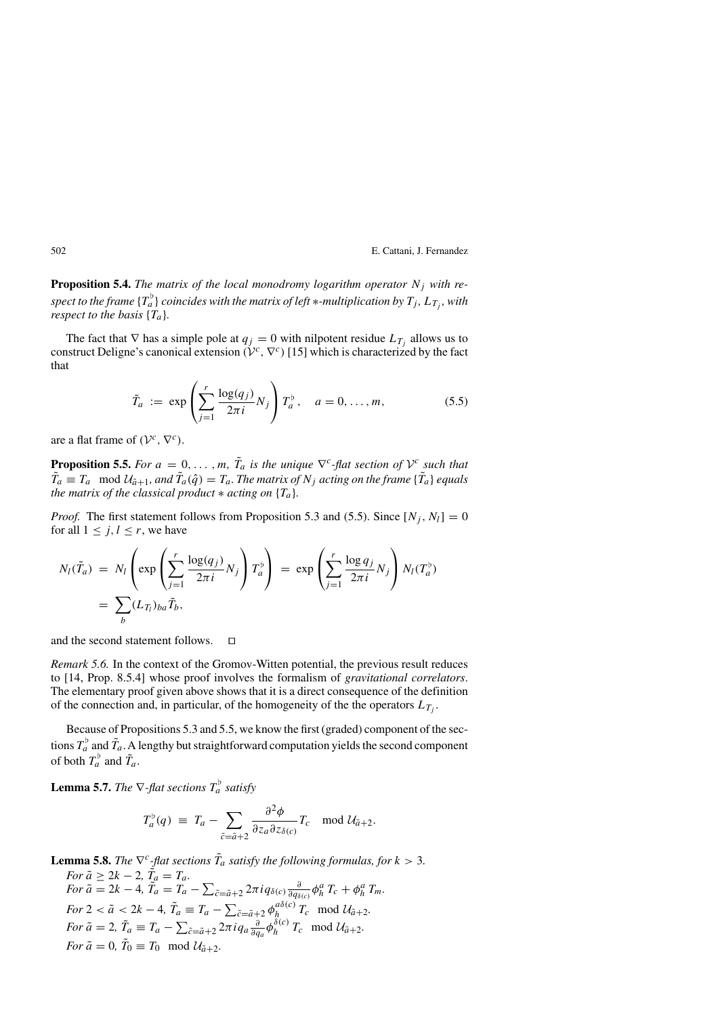**Proposition 5.4.** *The matrix of the local monodromy logarithm operator Nj with respect to the frame*  $\{T_a^b\}$  *coincides with the matrix of left* ∗*-multiplication by*  $T_j$ ,  $L_{T_j}$ *, with respect to the basis*  ${T_a}$ .

The fact that  $\nabla$  has a simple pole at  $q_j = 0$  with nilpotent residue  $L_{T_j}$  allows us to construct Deligne's canonical extension  $(V^c, \nabla^c)$  [15] which is characterized by the fact that

$$
\tilde{T}_a := \exp\left(\sum_{j=1}^r \frac{\log(q_j)}{2\pi i} N_j\right) T_a^{\flat}, \quad a = 0, \dots, m,
$$
\n(5.5)

are a flat frame of  $(V^c, \nabla^c)$ .

**Proposition 5.5.** *For*  $a = 0, \ldots, m$ *,*  $\tilde{T}_a$  *is the unique*  $\nabla^c$ *-flat section of*  $\mathcal{V}^c$  *such that*  $\tilde{T}_a \equiv T_a \mod \mathcal{U}_{\tilde{a}+1}$ , and  $\tilde{T}_a(\hat{q}) = T_a$ . The matrix of  $N_j$  acting on the frame  $\{\tilde{T}_a\}$  equals *the matrix of the classical product*  $*$  *acting on*  ${T_a}$ *.* 

*Proof.* The first statement follows from Proposition 5.3 and (5.5). Since  $[N_i, N_l] = 0$ for all  $1 \leq j, l \leq r$ , we have

$$
N_l(\tilde{T}_a) = N_l \left( \exp \left( \sum_{j=1}^r \frac{\log(q_j)}{2\pi i} N_j \right) T_a^{\flat} \right) = \exp \left( \sum_{j=1}^r \frac{\log q_j}{2\pi i} N_j \right) N_l(T_a^{\flat})
$$
  
= 
$$
\sum_b (L_{T_l})_{ba} \tilde{T}_b,
$$

and the second statement follows.  $\square$ 

*Remark 5.6.* In the context of the Gromov-Witten potential, the previous result reduces to [14, Prop. 8.5.4] whose proof involves the formalism of *gravitational correlators*. The elementary proof given above shows that it is a direct consequence of the definition of the connection and, in particular, of the homogeneity of the the operators  $L_{T_i}$ .

Because of Propositions 5.3 and 5.5, we know the first (graded) component of the sections  $T_a^{\flat}$  and  $\tilde{T}_a$ . A lengthy but straightforward computation yields the second component of both  $T_a^{\dagger}$  and  $\tilde{T}_a$ .

**Lemma 5.7.** *The*  $\nabla$ -flat sections  $T_a^{\flat}$  satisfy

$$
T_a^{\flat}(q) \ \equiv \ T_a - \sum_{\tilde{c} = \tilde{a}+2} \frac{\partial^2 \phi}{\partial z_a \partial z_{\delta(c)}} T_c \mod \mathcal{U}_{\tilde{a}+2}.
$$

**Lemma 5.8.** *The*  $\nabla^c$ -flat sections  $\tilde{T}_a$  satisfy the following formulas, for  $k > 3$ . *For*  $\tilde{a} \geq 2k - 2$ ,  $\tilde{T}_a = T_a$ . *For*  $\tilde{a} = 2k - 4$ ,  $\tilde{T}_a = T_a - \sum_{\tilde{c} = \tilde{a} + 2} 2\pi i q_{\delta(c)} \frac{\partial}{\partial q_{\delta(c)}} \phi_h^a T_c + \phi_h^a T_m$ . *For*  $2 < \tilde{a} < 2k - 4$ ,  $\tilde{T}_a \equiv T_a - \sum_{\tilde{c} = \tilde{a} + 2} \phi_{h}^{a\delta(c)} T_c \mod \mathcal{U}_{\tilde{a} + 2}$ . *For*  $\tilde{a} = 2$ ,  $\tilde{T}_a \equiv T_a - \sum_{\tilde{c} = \tilde{a}+2} 2\pi i q_a \frac{\partial}{\partial q_a} \phi_h^{\tilde{\delta}(c)} T_c \mod \mathcal{U}_{\tilde{a}+2}$ . *For*  $\tilde{a} = 0$ ,  $\tilde{T}_0 \equiv T_0 \mod \mathcal{U}_{\tilde{a}+2}$ *.*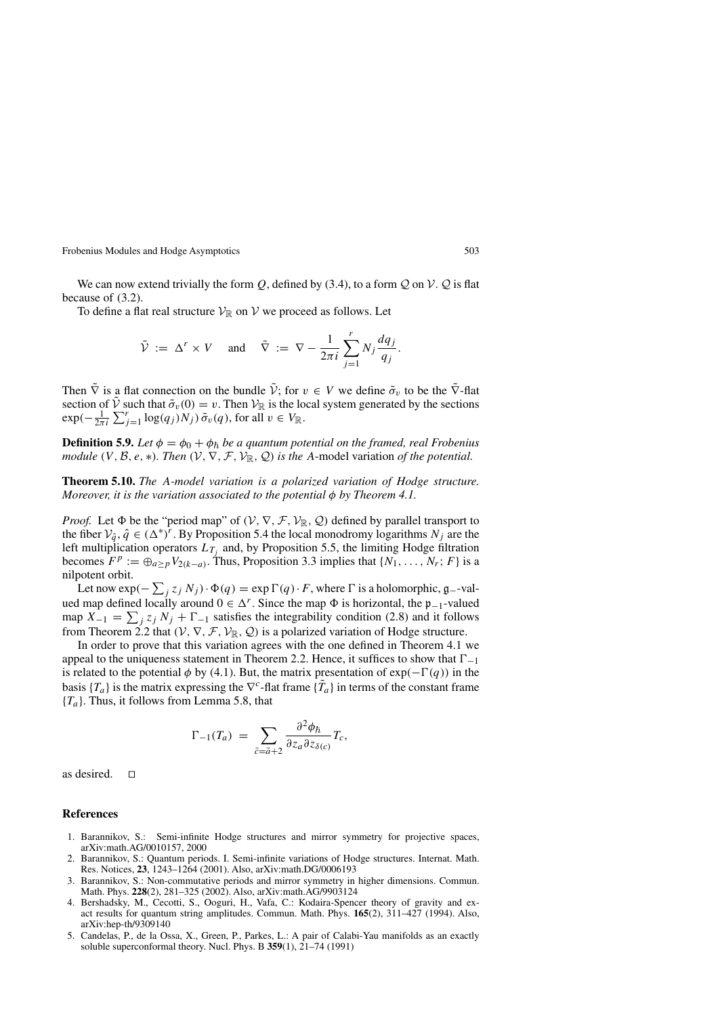We can now extend trivially the form Q, defined by (3.4), to a form  $\mathcal Q$  on  $\mathcal V$ .  $\mathcal Q$  is flat because of (3.2).

To define a flat real structure  $\mathcal{V}_{\mathbb{R}}$  on  $\mathcal{V}$  we proceed as follows. Let

$$
\tilde{\mathcal{V}} := \Delta^r \times V
$$
 and  $\tilde{\nabla} := \nabla - \frac{1}{2\pi i} \sum_{j=1}^r N_j \frac{dq_j}{q_j}.$ 

Then  $\tilde{\nabla}$  is a flat connection on the bundle  $\tilde{V}$ ; for  $v \in V$  we define  $\tilde{\sigma}_v$  to be the  $\tilde{\nabla}$ -flat section of  $\tilde{V}$  such that  $\tilde{\sigma}_v(0) = v$ . Then  $V_R$  is the local system generated by the sections  $\exp(-\frac{1}{2\pi i}\sum_{j=1}^r \log(q_j)N_j)\,\tilde{\sigma}_v(q)$ , for all  $v \in V_{\mathbb{R}}$ .

**Definition 5.9.** *Let*  $\phi = \phi_0 + \phi_{\bar{h}}$  *be a quantum potential on the framed, real Frobenius module*  $(V, \mathcal{B}, e, *)$ *. Then*  $(V, \nabla, \mathcal{F}, \mathcal{V}_{\mathbb{R}}, \mathcal{Q})$  *is the A*-model variation *of the potential.* 

**Theorem 5.10.** *The A-model variation is a polarized variation of Hodge structure. Moreover, it is the variation associated to the potential φ by Theorem 4.1.*

*Proof.* Let  $\Phi$  be the "period map" of  $(V, \nabla, \mathcal{F}, \mathcal{V}_{\mathbb{R}}, \mathcal{Q})$  defined by parallel transport to the fiber  $V_{\hat{q}}, \hat{q} \in (\Delta^*)^r$ . By Proposition 5.4 the local monodromy logarithms  $N_j$  are the left multiplication operators  $L_{T_i}$  and, by Proposition 5.5, the limiting Hodge filtration becomes  $F^p := \bigoplus_{a > p} V_{2(k-a)}$ . Thus, Proposition 3.3 implies that  $\{N_1, \ldots, N_r; F\}$  is a nilpotent orbit.

Let now  $\exp(-\sum_j z_j N_j) \cdot \Phi(q) = \exp \Gamma(q) \cdot F$ , where  $\Gamma$  is a holomorphic, g--val-<br>l map defined locally ground  $0 \in \Delta^r$ . Since the map  $\Phi$  is horizontal, the n-valued ued map defined locally around  $0 \in \Delta^r$ . Since the map  $\Phi$  is horizontal, the p<sub>−1</sub>-valued map  $X_{-1} = \sum_j z_j N_j + \Gamma_{-1}$  satisfies the integrability condition (2.8) and it follows from Theorem 2.2 that  $(V, \nabla, \mathcal{F}, \mathcal{V}_{\mathbb{R}}, \mathcal{Q})$  is a polarized variation of Hodge structure.

In order to prove that this variation agrees with the one defined in Theorem 4.1 we appeal to the uniqueness statement in Theorem 2.2. Hence, it suffices to show that  $\Gamma_{-1}$ is related to the potential  $\phi$  by (4.1). But, the matrix presentation of  $exp(-\Gamma(q))$  in the basis  ${T_a}$  is the matrix expressing the  $\nabla^c$ -flat frame  ${\tilde{T_a}}$  in terms of the constant frame {*Ta*}. Thus, it follows from Lemma 5.8, that

$$
\Gamma_{-1}(T_a) = \sum_{\tilde{c} = \tilde{a}+2} \frac{\partial^2 \phi_{\tilde{h}}}{\partial z_a \partial z_{\delta(c)}} T_c,
$$

as desired.  $\square$ 

#### **References**

- 1. Barannikov, S.: Semi-infinite Hodge structures and mirror symmetry for projective spaces, arXiv:math.AG/0010157, 2000
- 2. Barannikov, S.: Quantum periods. I. Semi-infinite variations of Hodge structures. Internat. Math. Res. Notices, **23**, 1243–1264 (2001). Also, arXiv:math.DG/0006193
- 3. Barannikov, S.: Non-commutative periods and mirror symmetry in higher dimensions. Commun. Math. Phys. **228**(2), 281–325 (2002). Also, arXiv:math.AG/9903124
- 4. Bershadsky, M., Cecotti, S., Ooguri, H., Vafa, C.: Kodaira-Spencer theory of gravity and exact results for quantum string amplitudes. Commun. Math. Phys. **165**(2), 311–427 (1994). Also, arXiv:hep-th/9309140
- 5. Candelas, P., de la Ossa, X., Green, P., Parkes, L.: A pair of Calabi-Yau manifolds as an exactly soluble superconformal theory. Nucl. Phys. B **359**(1), 21–74 (1991)